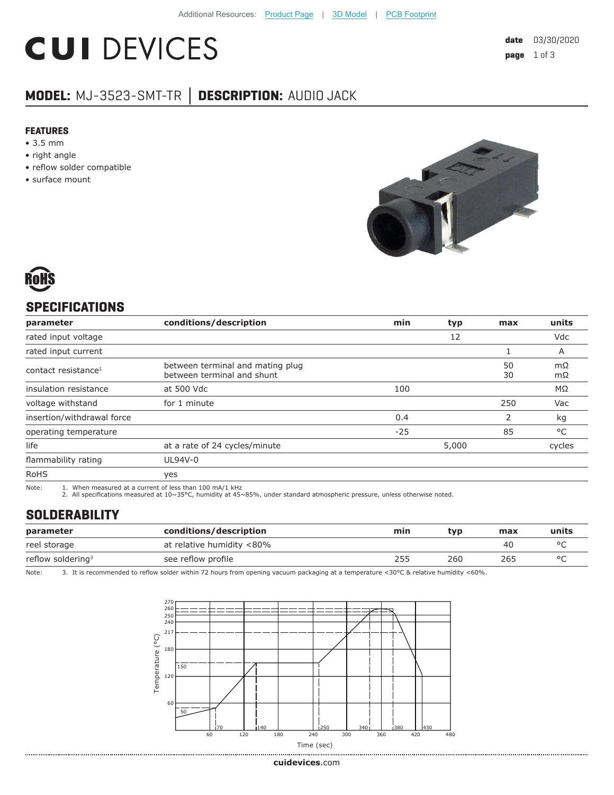# **CUI DEVICES**

### **MODEL:** MJ-3523-SMT-TR **│ DESCRIPTION:** AUDIO JACK

#### **FEATURES**

- 3.5 mm
- right angle
- reflow solder compatible
- surface mount





#### **SPECIFICATIONS**

| parameter                       | conditions/description                                         | min   | typ   | max      | units        |
|---------------------------------|----------------------------------------------------------------|-------|-------|----------|--------------|
| rated input voltage             |                                                                |       | 12    |          | Vdc          |
| rated input current             |                                                                |       |       |          | A            |
| contact resistance <sup>1</sup> | between terminal and mating plug<br>between terminal and shunt |       |       | 50<br>30 | mΩ<br>mΩ     |
| insulation resistance           | at 500 Vdc                                                     | 100   |       |          | MΩ           |
| voltage withstand               | for 1 minute                                                   |       |       | 250      | Vac          |
| insertion/withdrawal force      |                                                                | 0.4   |       | 2        | kg           |
| operating temperature           |                                                                | $-25$ |       | 85       | $^{\circ}$ C |
| life                            | at a rate of 24 cycles/minute                                  |       | 5,000 |          | cycles       |
| flammability rating             | UL94V-0                                                        |       |       |          |              |
| <b>RoHS</b>                     | yes                                                            |       |       |          |              |

Note: 1. When measured at a current of less than 100 mA/1 kHz 2. All specifications measured at 10~35°C, humidity at 45~85%, under standard atmospheric pressure, unless otherwise noted.

#### **SOLDERABILITY**

| parameter                     | conditions/description    | min | tvp | max | units |
|-------------------------------|---------------------------|-----|-----|-----|-------|
| reel storage                  | at relative humidity <80% |     |     | 40  |       |
| reflow soldering <sup>3</sup> | see reflow profile        | 255 | 260 | 265 |       |

Note: 3. It is recommended to reflow solder within 72 hours from opening vacuum packaging at a temperature <30°C & relative humidity <60%.

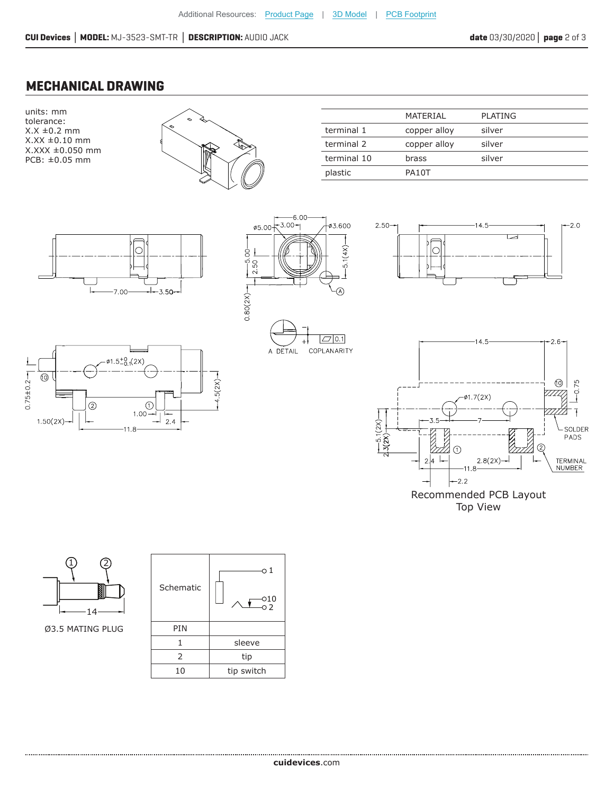#### **MECHANICAL DRAWING**





|             | MATFRIAI     | PLATING |
|-------------|--------------|---------|
| terminal 1  | copper alloy | silver  |
| terminal 2  | copper alloy | silver  |
| terminal 10 | brass        | silver  |
| plastic     | PA10T        |         |













Recommended PCB Layout Top View



Ø3.5 MATING PLUG

| Schematic | о1<br>010<br>$\overline{0}$ 2 |  |
|-----------|-------------------------------|--|
| PIN       |                               |  |
| 1         | sleeve                        |  |
| 2         | tip                           |  |
| 10        | tip switch                    |  |